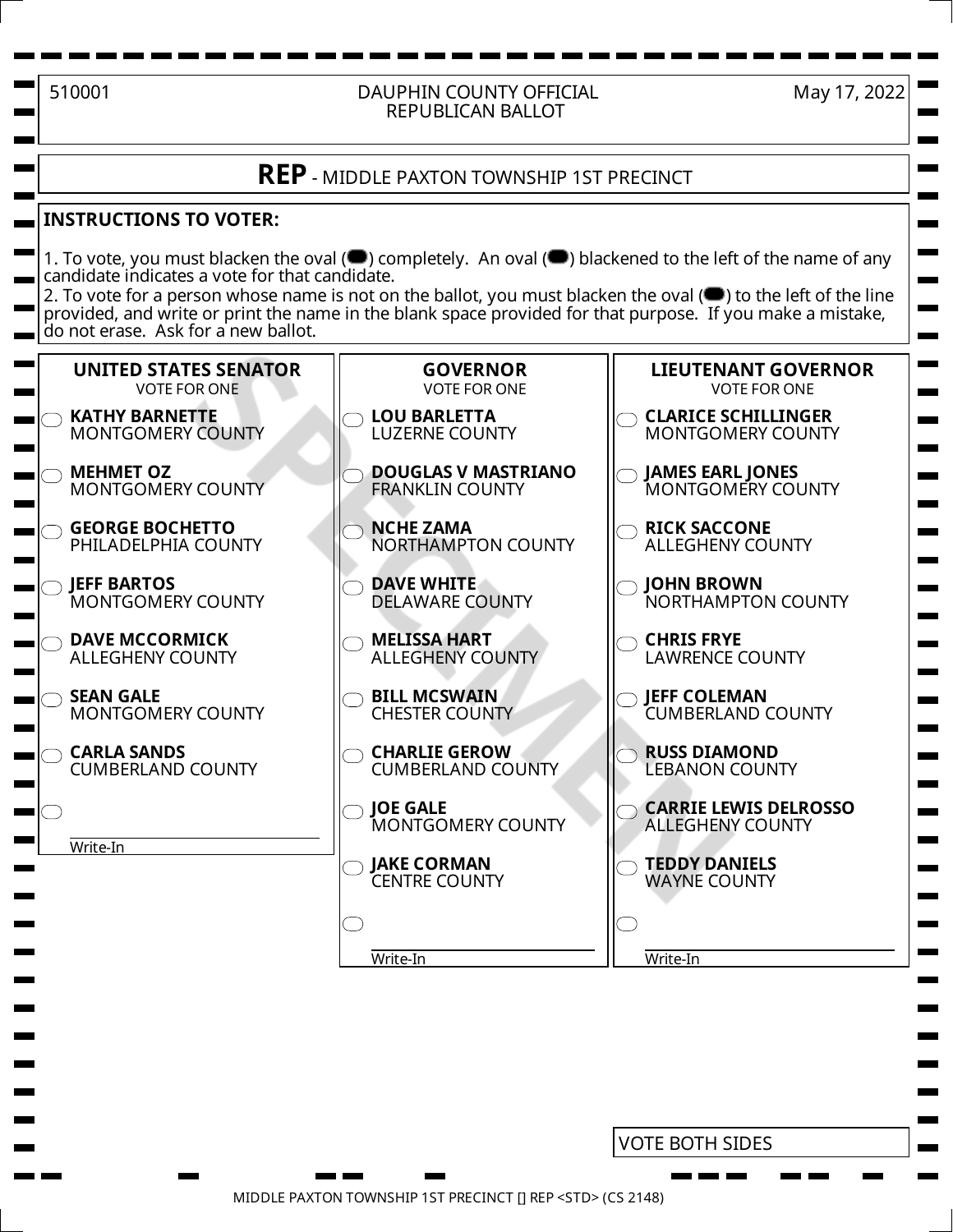## 510001 DAUPHIN COUNTY OFFICIAL REPUBLICAN BALLOT

May 17, 2022

## **REP** - MIDDLE PAXTON TOWNSHIP 1ST PRECINCT

## **INSTRUCTIONS TO VOTER:**

1. To vote, you must blacken the oval (O) completely. An oval (O) blackened to the left of the name of any candidate indicates a vote for that candidate.

2. To vote for a person whose name is not on the ballot, you must blacken the oval  $($ **)** to the left of the line provided, and write or print the name in the blank space provided for that purpose. If you make a mistake, do not erase. Ask for a new ballot.



VOTE BOTH SIDES